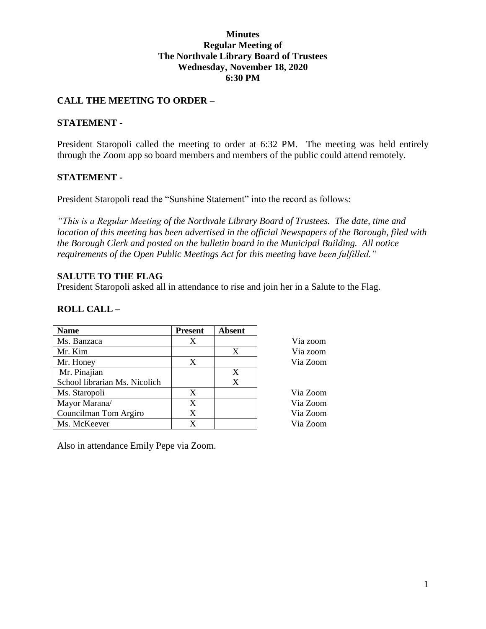### **Minutes Regular Meeting of The Northvale Library Board of Trustees Wednesday, November 18, 2020 6:30 PM**

# **CALL THE MEETING TO ORDER –**

### **STATEMENT -**

President Staropoli called the meeting to order at 6:32 PM. The meeting was held entirely through the Zoom app so board members and members of the public could attend remotely.

### **STATEMENT -**

President Staropoli read the "Sunshine Statement" into the record as follows:

*"This is a Regular Meeting of the Northvale Library Board of Trustees. The date, time and location of this meeting has been advertised in the official Newspapers of the Borough, filed with the Borough Clerk and posted on the bulletin board in the Municipal Building. All notice requirements of the Open Public Meetings Act for this meeting have been fulfilled."* 

### **SALUTE TO THE FLAG**

President Staropoli asked all in attendance to rise and join her in a Salute to the Flag.

## **ROLL CALL –**

| <b>Name</b>                   | <b>Present</b> | <b>Absent</b> |          |
|-------------------------------|----------------|---------------|----------|
| Ms. Banzaca                   | X              |               | Via zoom |
| Mr. Kim                       |                | X             | Via zoom |
| Mr. Honey                     | X              |               | Via Zoom |
| Mr. Pinajian                  |                | X             |          |
| School librarian Ms. Nicolich |                | X             |          |
| Ms. Staropoli                 | X              |               | Via Zoom |
| Mayor Marana/                 | X              |               | Via Zoom |
| Councilman Tom Argiro         | X              |               | Via Zoom |
| Ms. McKeever                  | X              |               | Via Zoom |

Also in attendance Emily Pepe via Zoom.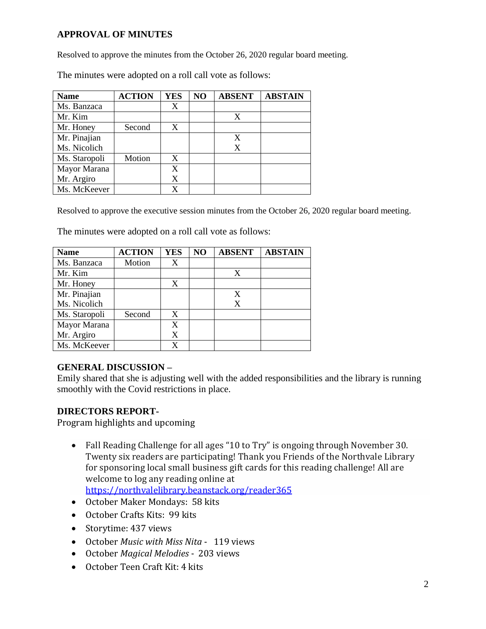# **APPROVAL OF MINUTES**

Resolved to approve the minutes from the October 26, 2020 regular board meeting.

The minutes were adopted on a roll call vote as follows:

| <b>Name</b>   | <b>ACTION</b> | <b>YES</b> | NO | <b>ABSENT</b> | <b>ABSTAIN</b> |
|---------------|---------------|------------|----|---------------|----------------|
| Ms. Banzaca   |               | X          |    |               |                |
| Mr. Kim       |               |            |    | X             |                |
| Mr. Honey     | Second        | X          |    |               |                |
| Mr. Pinajian  |               |            |    | X             |                |
| Ms. Nicolich  |               |            |    | X             |                |
| Ms. Staropoli | Motion        | X          |    |               |                |
| Mayor Marana  |               | X          |    |               |                |
| Mr. Argiro    |               | X          |    |               |                |
| Ms. McKeever  |               | X          |    |               |                |

Resolved to approve the executive session minutes from the October 26, 2020 regular board meeting.

The minutes were adopted on a roll call vote as follows:

| <b>Name</b>   | <b>ACTION</b> | <b>YES</b> | N <sub>O</sub> | <b>ABSENT</b> | <b>ABSTAIN</b> |
|---------------|---------------|------------|----------------|---------------|----------------|
| Ms. Banzaca   | Motion        | X          |                |               |                |
| Mr. Kim       |               |            |                | X             |                |
| Mr. Honey     |               | X          |                |               |                |
| Mr. Pinajian  |               |            |                | X             |                |
| Ms. Nicolich  |               |            |                | X             |                |
| Ms. Staropoli | Second        | X          |                |               |                |
| Mayor Marana  |               | X          |                |               |                |
| Mr. Argiro    |               | X          |                |               |                |
| Ms. McKeever  |               | X          |                |               |                |

# **GENERAL DISCUSSION –**

Emily shared that she is adjusting well with the added responsibilities and the library is running smoothly with the Covid restrictions in place.

## **DIRECTORS REPORT-**

Program highlights and upcoming

- Fall Reading Challenge for all ages "10 to Try" is ongoing through November 30. Twenty six readers are participating! Thank you Friends of the Northvale Library for sponsoring local small business gift cards for this reading challenge! All are welcome to log any reading online at <https://northvalelibrary.beanstack.org/reader365>
- October Maker Mondays: 58 kits
- October Crafts Kits: 99 kits
- Storytime: 437 views
- October *Music with Miss Nita* 119 views
- October *Magical Melodies* 203 views
- October Teen Craft Kit: 4 kits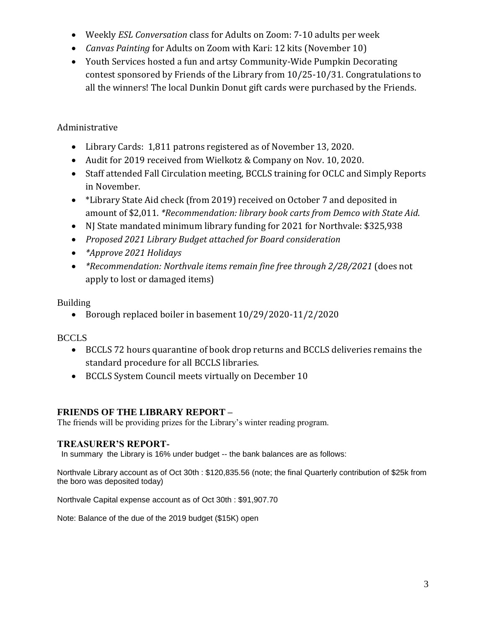- Weekly *ESL Conversation* class for Adults on Zoom: 7-10 adults per week
- *Canvas Painting* for Adults on Zoom with Kari: 12 kits (November 10)
- Youth Services hosted a fun and artsy Community-Wide Pumpkin Decorating contest sponsored by Friends of the Library from 10/25-10/31. Congratulations to all the winners! The local Dunkin Donut gift cards were purchased by the Friends.

# Administrative

- Library Cards: 1,811 patrons registered as of November 13, 2020.
- Audit for 2019 received from Wielkotz & Company on Nov. 10, 2020.
- Staff attended Fall Circulation meeting, BCCLS training for OCLC and Simply Reports in November.
- \*Library State Aid check (from 2019) received on October 7 and deposited in amount of \$2,011. *\*Recommendation: library book carts from Demco with State Aid*.
- NJ State mandated minimum library funding for 2021 for Northvale: \$325,938
- *Proposed 2021 Library Budget attached for Board consideration*
- *\*Approve 2021 Holidays*
- *\*Recommendation: Northvale items remain fine free through 2/28/2021* (does not apply to lost or damaged items)

# Building

Borough replaced boiler in basement 10/29/2020-11/2/2020

# **BCCLS**

- BCCLS 72 hours quarantine of book drop returns and BCCLS deliveries remains the standard procedure for all BCCLS libraries.
- BCCLS System Council meets virtually on December 10

# **FRIENDS OF THE LIBRARY REPORT –**

The friends will be providing prizes for the Library's winter reading program.

# **TREASURER'S REPORT-**

In summary the Library is 16% under budget -- the bank balances are as follows:

Northvale Library account as of Oct 30th : \$120,835.56 (note; the final Quarterly contribution of \$25k from the boro was deposited today)

Northvale Capital expense account as of Oct 30th : \$91,907.70

Note: Balance of the due of the 2019 budget (\$15K) open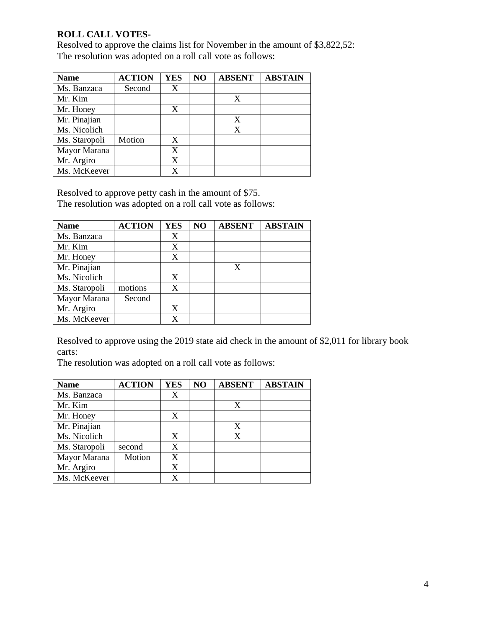# **ROLL CALL VOTES-**

Resolved to approve the claims list for November in the amount of \$3,822,52: The resolution was adopted on a roll call vote as follows:

| <b>Name</b>   | <b>ACTION</b> | <b>YES</b> | NO | <b>ABSENT</b> | <b>ABSTAIN</b> |
|---------------|---------------|------------|----|---------------|----------------|
| Ms. Banzaca   | Second        | X          |    |               |                |
| Mr. Kim       |               |            |    | X             |                |
| Mr. Honey     |               | X          |    |               |                |
| Mr. Pinajian  |               |            |    |               |                |
| Ms. Nicolich  |               |            |    | X             |                |
| Ms. Staropoli | Motion        | X          |    |               |                |
| Mayor Marana  |               | X          |    |               |                |
| Mr. Argiro    |               | X          |    |               |                |
| Ms. McKeever  |               |            |    |               |                |

Resolved to approve petty cash in the amount of \$75.

The resolution was adopted on a roll call vote as follows:

| <b>Name</b>   | <b>ACTION</b> | <b>YES</b> | NO | <b>ABSENT</b> | <b>ABSTAIN</b> |
|---------------|---------------|------------|----|---------------|----------------|
| Ms. Banzaca   |               | X          |    |               |                |
| Mr. Kim       |               | X          |    |               |                |
| Mr. Honey     |               | X          |    |               |                |
| Mr. Pinajian  |               |            |    | X             |                |
| Ms. Nicolich  |               | X          |    |               |                |
| Ms. Staropoli | motions       | X          |    |               |                |
| Mayor Marana  | Second        |            |    |               |                |
| Mr. Argiro    |               | X          |    |               |                |
| Ms. McKeever  |               | X          |    |               |                |

Resolved to approve using the 2019 state aid check in the amount of \$2,011 for library book carts:

The resolution was adopted on a roll call vote as follows:

| <b>Name</b>   | <b>ACTION</b> | <b>YES</b> | NO | <b>ABSENT</b> | <b>ABSTAIN</b> |
|---------------|---------------|------------|----|---------------|----------------|
| Ms. Banzaca   |               | X          |    |               |                |
| Mr. Kim       |               |            |    | X             |                |
| Mr. Honey     |               | X          |    |               |                |
| Mr. Pinajian  |               |            |    |               |                |
| Ms. Nicolich  |               | X          |    | X             |                |
| Ms. Staropoli | second        | X          |    |               |                |
| Mayor Marana  | Motion        | X          |    |               |                |
| Mr. Argiro    |               | X          |    |               |                |
| Ms. McKeever  |               |            |    |               |                |